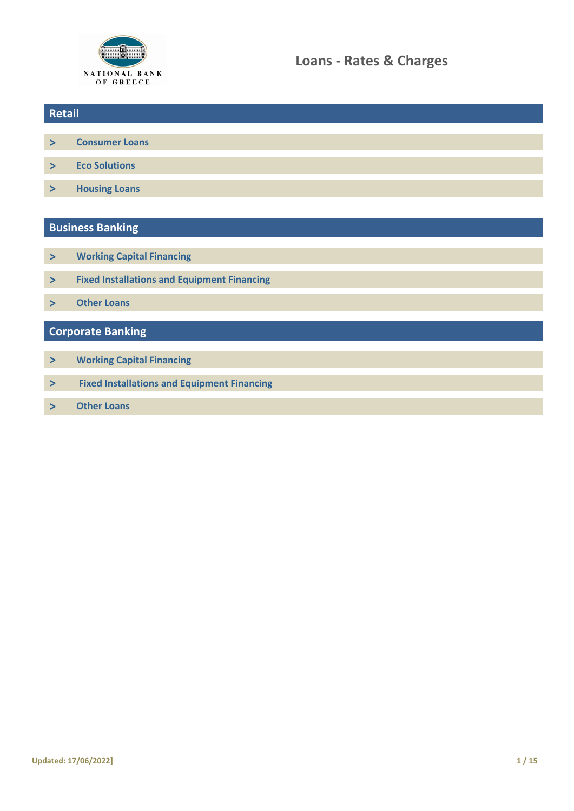

- **> [Consumer Loans](#page-1-0)**
- **> [Eco Solutions](#page-4-0)**
- **> [Housing Loans](#page-5-0)**

# **Business Banking**

- **> [Working Capital Financing](#page-9-0)**
- **> Fixed Installations [and Equipment Financing](#page-9-0)**
- **> [Other](#page-10-0) Loans**

# **Corporate Banking**

- **> [Working Capital Financing](#page-11-0)**
- **> [Fixed Installations and Equipment Financing](#page-11-0)**
- **> [Other Loans](#page-11-0)**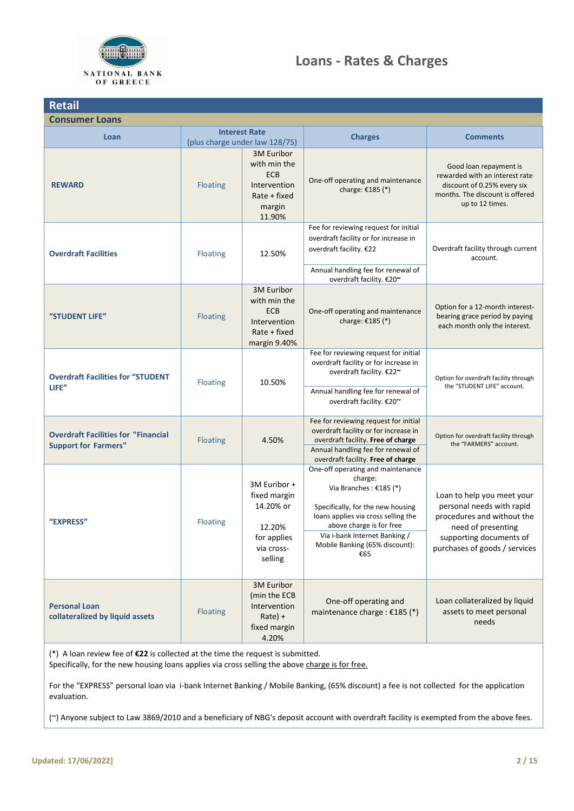

# **Loans - Rates & Charges**

<span id="page-1-0"></span>

| <b>Retail</b>                                                             |                                |                                                                                                |                                                                                                                                                                                                                                                           |                                                                                                                                                                         |
|---------------------------------------------------------------------------|--------------------------------|------------------------------------------------------------------------------------------------|-----------------------------------------------------------------------------------------------------------------------------------------------------------------------------------------------------------------------------------------------------------|-------------------------------------------------------------------------------------------------------------------------------------------------------------------------|
| <b>Consumer Loans</b>                                                     |                                |                                                                                                |                                                                                                                                                                                                                                                           |                                                                                                                                                                         |
| Loan                                                                      | (plus charge under law 128/75) | <b>Interest Rate</b>                                                                           | <b>Charges</b>                                                                                                                                                                                                                                            | <b>Comments</b>                                                                                                                                                         |
| <b>REWARD</b>                                                             | <b>Floating</b>                | 3M Euribor<br>with min the<br><b>ECB</b><br>Intervention<br>$Rate + fixed$<br>margin<br>11.90% | One-off operating and maintenance<br>charge: €185 (*)                                                                                                                                                                                                     | Good loan repayment is<br>rewarded with an interest rate<br>discount of 0.25% every six<br>months. The discount is offered<br>up to 12 times.                           |
| <b>Overdraft Facilities</b>                                               | <b>Floating</b>                | 12.50%                                                                                         | Fee for reviewing request for initial<br>overdraft facility or for increase in<br>overdraft facility. €22<br>Annual handling fee for renewal of<br>overdraft facility. €20~                                                                               | Overdraft facility through current<br>account.                                                                                                                          |
| "STUDENT LIFE"                                                            | Floating                       | 3M Euribor<br>with min the<br><b>ECB</b><br>Intervention<br>$Rate + fixed$<br>margin 9.40%     | One-off operating and maintenance<br>charge: €185 (*)                                                                                                                                                                                                     | Option for a 12-month interest-<br>bearing grace period by paying<br>each month only the interest.                                                                      |
| <b>Overdraft Facilities for "STUDENT</b><br>LIFE"                         | <b>Floating</b>                | 10.50%                                                                                         | Fee for reviewing request for initial<br>overdraft facility or for increase in<br>overdraft facility. €22~<br>Annual handling fee for renewal of<br>overdraft facility. €20~                                                                              | Option for overdraft facility through<br>the "STUDENT LIFE" account.                                                                                                    |
| <b>Overdraft Facilities for "Financial</b><br><b>Support for Farmers"</b> | <b>Floating</b>                | 4.50%                                                                                          | Fee for reviewing request for initial<br>overdraft facility or for increase in<br>overdraft facility. Free of charge<br>Annual handling fee for renewal of<br>overdraft facility. Free of charge                                                          | Option for overdraft facility through<br>the "FARMERS" account.                                                                                                         |
| "EXPRESS"                                                                 | <b>Floating</b>                | 3M Euribor +<br>fixed margin<br>14.20% or<br>12.20%<br>for applies<br>via cross-<br>selling    | One-off operating and maintenance<br>charge:<br>Via Branches : €185 (*)<br>Specifically, for the new housing<br>loans applies via cross selling the<br>above charge is for free<br>Via i-bank Internet Banking /<br>Mobile Banking (65% discount):<br>€65 | Loan to help you meet your<br>personal needs with rapid<br>procedures and without the<br>need of presenting<br>supporting documents of<br>purchases of goods / services |
| <b>Personal Loan</b><br>collateralized by liquid assets                   | Floating                       | 3M Euribor<br>(min the ECB<br>Intervention<br>$Rate) +$<br>fixed margin<br>4.20%               | One-off operating and<br>maintenance charge : €185 (*)                                                                                                                                                                                                    | Loan collateralized by liquid<br>assets to meet personal<br>needs                                                                                                       |

(\*) A loan review fee of **€22** is collected at the time the request is submitted.

Specifically, for the new housing loans applies via cross selling the above charge is for free.

For the "EXPRESS" personal loan via i-bank Internet Banking / Mobile Banking, (65% discount) a fee is not collected for the application evaluation.

(~) Anyone subject to Law 3869/2010 and a beneficiary of NBG's deposit account with overdraft facility is exempted from the above fees.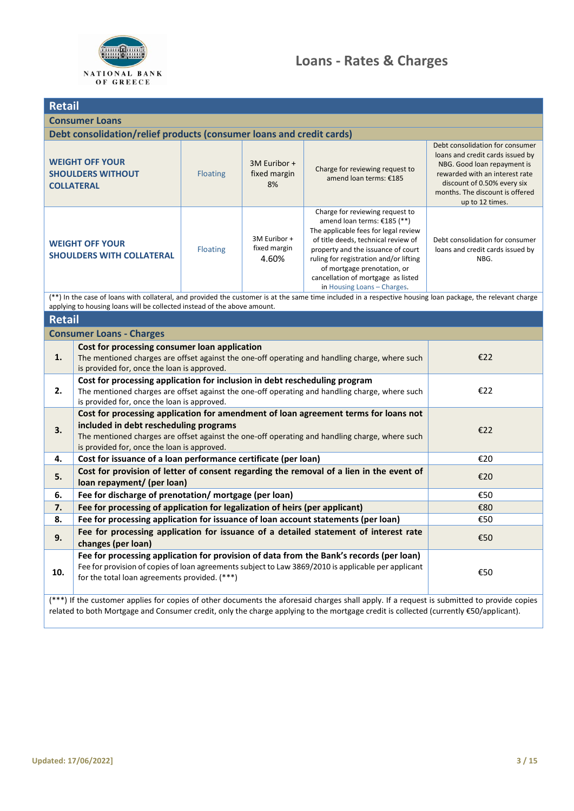

| <b>Retail</b>                                                                                                                                                                                                                                                                                                                                                                                                                                               |                                                                                                                                                                                                                                                                                     |                                                                             |                                    |                                                                                                                                                             |                                                                                                                                                                                                                           |
|-------------------------------------------------------------------------------------------------------------------------------------------------------------------------------------------------------------------------------------------------------------------------------------------------------------------------------------------------------------------------------------------------------------------------------------------------------------|-------------------------------------------------------------------------------------------------------------------------------------------------------------------------------------------------------------------------------------------------------------------------------------|-----------------------------------------------------------------------------|------------------------------------|-------------------------------------------------------------------------------------------------------------------------------------------------------------|---------------------------------------------------------------------------------------------------------------------------------------------------------------------------------------------------------------------------|
|                                                                                                                                                                                                                                                                                                                                                                                                                                                             | <b>Consumer Loans</b>                                                                                                                                                                                                                                                               |                                                                             |                                    |                                                                                                                                                             |                                                                                                                                                                                                                           |
|                                                                                                                                                                                                                                                                                                                                                                                                                                                             | Debt consolidation/relief products (consumer loans and credit cards)                                                                                                                                                                                                                |                                                                             |                                    |                                                                                                                                                             |                                                                                                                                                                                                                           |
|                                                                                                                                                                                                                                                                                                                                                                                                                                                             | <b>WEIGHT OFF YOUR</b><br><b>SHOULDERS WITHOUT</b><br><b>COLLATERAL</b>                                                                                                                                                                                                             | <b>Floating</b>                                                             | 3M Euribor +<br>fixed margin<br>8% | Charge for reviewing request to<br>amend loan terms: €185                                                                                                   | Debt consolidation for consumer<br>loans and credit cards issued by<br>NBG. Good loan repayment is<br>rewarded with an interest rate<br>discount of 0.50% every six<br>months. The discount is offered<br>up to 12 times. |
| Charge for reviewing request to<br>amend loan terms: €185 (**)<br>The applicable fees for legal review<br>3M Euribor +<br>of title deeds, technical review of<br><b>WEIGHT OFF YOUR</b><br>fixed margin<br><b>Floating</b><br>property and the issuance of court<br><b>SHOULDERS WITH COLLATERAL</b><br>4.60%<br>ruling for registration and/or lifting<br>of mortgage prenotation, or<br>cancellation of mortgage as listed<br>in Housing Loans - Charges. |                                                                                                                                                                                                                                                                                     | Debt consolidation for consumer<br>loans and credit cards issued by<br>NBG. |                                    |                                                                                                                                                             |                                                                                                                                                                                                                           |
|                                                                                                                                                                                                                                                                                                                                                                                                                                                             | applying to housing loans will be collected instead of the above amount.                                                                                                                                                                                                            |                                                                             |                                    | (**) In the case of loans with collateral, and provided the customer is at the same time included in a respective housing loan package, the relevant charge |                                                                                                                                                                                                                           |
| <b>Retail</b>                                                                                                                                                                                                                                                                                                                                                                                                                                               |                                                                                                                                                                                                                                                                                     |                                                                             |                                    |                                                                                                                                                             |                                                                                                                                                                                                                           |
|                                                                                                                                                                                                                                                                                                                                                                                                                                                             | <b>Consumer Loans - Charges</b>                                                                                                                                                                                                                                                     |                                                                             |                                    |                                                                                                                                                             |                                                                                                                                                                                                                           |
| Cost for processing consumer loan application<br>1.<br>The mentioned charges are offset against the one-off operating and handling charge, where such<br>is provided for, once the loan is approved.                                                                                                                                                                                                                                                        |                                                                                                                                                                                                                                                                                     |                                                                             | €22                                |                                                                                                                                                             |                                                                                                                                                                                                                           |
| Cost for processing application for inclusion in debt rescheduling program<br>2.<br>The mentioned charges are offset against the one-off operating and handling charge, where such<br>is provided for, once the loan is approved.                                                                                                                                                                                                                           |                                                                                                                                                                                                                                                                                     |                                                                             | €22                                |                                                                                                                                                             |                                                                                                                                                                                                                           |
| Cost for processing application for amendment of loan agreement terms for loans not<br>included in debt rescheduling programs<br>3.<br>The mentioned charges are offset against the one-off operating and handling charge, where such<br>is provided for, once the loan is approved.                                                                                                                                                                        |                                                                                                                                                                                                                                                                                     |                                                                             |                                    | €22                                                                                                                                                         |                                                                                                                                                                                                                           |
| 4.                                                                                                                                                                                                                                                                                                                                                                                                                                                          | Cost for issuance of a loan performance certificate (per loan)                                                                                                                                                                                                                      |                                                                             |                                    |                                                                                                                                                             | €20                                                                                                                                                                                                                       |
| 5.                                                                                                                                                                                                                                                                                                                                                                                                                                                          | Cost for provision of letter of consent regarding the removal of a lien in the event of<br>€20<br>loan repayment/ (per loan)                                                                                                                                                        |                                                                             |                                    |                                                                                                                                                             |                                                                                                                                                                                                                           |
| 6.                                                                                                                                                                                                                                                                                                                                                                                                                                                          | Fee for discharge of prenotation/ mortgage (per loan)                                                                                                                                                                                                                               |                                                                             |                                    |                                                                                                                                                             | €50                                                                                                                                                                                                                       |
| 7.                                                                                                                                                                                                                                                                                                                                                                                                                                                          | Fee for processing of application for legalization of heirs (per applicant)                                                                                                                                                                                                         |                                                                             |                                    | €80                                                                                                                                                         |                                                                                                                                                                                                                           |
| 8.                                                                                                                                                                                                                                                                                                                                                                                                                                                          | Fee for processing application for issuance of loan account statements (per loan)                                                                                                                                                                                                   |                                                                             |                                    | €50                                                                                                                                                         |                                                                                                                                                                                                                           |
| 9.                                                                                                                                                                                                                                                                                                                                                                                                                                                          | Fee for processing application for issuance of a detailed statement of interest rate<br>changes (per loan)                                                                                                                                                                          |                                                                             |                                    | €50                                                                                                                                                         |                                                                                                                                                                                                                           |
| Fee for processing application for provision of data from the Bank's records (per loan)<br>Fee for provision of copies of loan agreements subject to Law 3869/2010 is applicable per applicant<br>10.<br>for the total loan agreements provided. (***)                                                                                                                                                                                                      |                                                                                                                                                                                                                                                                                     |                                                                             | €50                                |                                                                                                                                                             |                                                                                                                                                                                                                           |
|                                                                                                                                                                                                                                                                                                                                                                                                                                                             | (***) If the customer applies for copies of other documents the aforesaid charges shall apply. If a request is submitted to provide copies<br>related to both Mortgage and Consumer credit, only the charge applying to the mortgage credit is collected (currently €50/applicant). |                                                                             |                                    |                                                                                                                                                             |                                                                                                                                                                                                                           |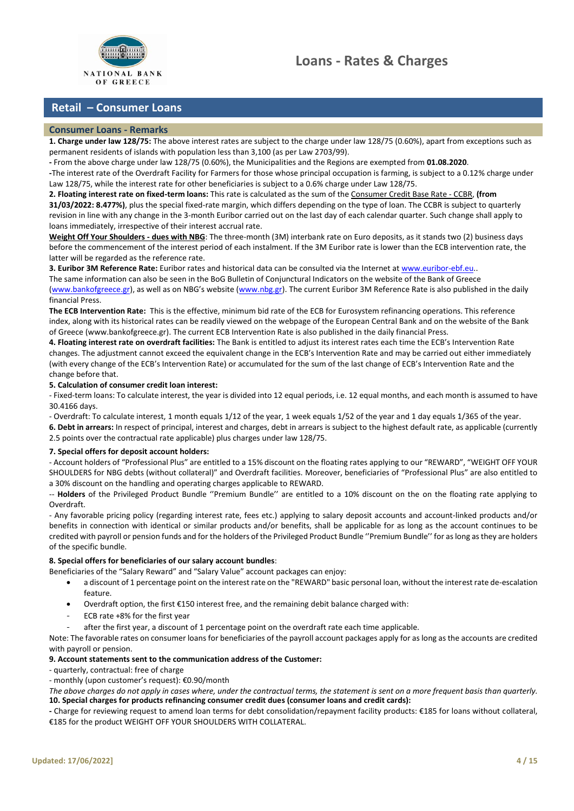



## **Retail – Consumer Loans**

### **Consumer Loans - Remarks**

**1. Charge under law 128/75:** The above interest rates are subject to the charge under law 128/75 (0.60%), apart from exceptions such as permanent residents of islands with population less than 3,100 (as per Law 2703/99).

**-** From the above charge under law 128/75 (0.60%), the Municipalities and the Regions are exempted from **01.08.2020**.

**-**The interest rate of the Overdraft Facility for Farmers for those whose principal occupation is farming, is subject to a 0.12% charge under Law 128/75, while the interest rate for other beneficiaries is subject to a 0.6% charge under Law 128/75.

<span id="page-3-0"></span>**2. Floating interest rate on fixed-term loans:** This rate is calculated as the sum of the Consumer Credit Base Rate - CCBR, **(from 31/03/2022: 8.477%)**, plus the special fixed-rate margin, which differs depending on the type of loan. The CCBR is subject to quarterly revision in line with any change in the 3-month Euribor carried out on the last day of each calendar quarter. Such change shall apply to loans immediately, irrespective of their interest accrual rate.

**Weight Off Your Shoulders - dues with NBG**: The three-month (3M) interbank rate on Euro deposits, as it stands two (2) business days before the commencement of the interest period of each instalment. If the 3M Euribor rate is lower than the ECB intervention rate, the latter will be regarded as the reference rate.

**3. Euribor 3M Reference Rate:** Euribor rates and historical data can be consulted via the Internet a[t www.euribor-ebf.eu..](http://www.euribor-ebf.eu/)

The same information can also be seen in the BoG Bulletin of Conjunctural Indicators on the website of the Bank of Greece

[\(www.bankofgreece.gr\)](http://www.bankofgreece.gr/), as well as on NBG's website [\(www.nbg.gr\)](http://www.nbg.gr/). The current Euribor 3M Reference Rate is also published in the daily financial Press.

**The ECB Intervention Rate:** This is the effective, minimum bid rate of the ECB for Eurosystem refinancing operations. This reference index, along with its historical rates can be readily viewed on the webpage of the European Central Bank and on the website of the Bank of Greece (www.bankofgreece.gr). The current ECB Intervention Rate is also published in the daily financial Press.

<span id="page-3-1"></span>**4. Floating interest rate on overdraft facilities:** The Bank is entitled to adjust its interest rates each time the ECB's Intervention Rate changes. The adjustment cannot exceed the equivalent change in the ECB's Intervention Rate and may be carried out either immediately (with every change of the ECB's Intervention Rate) or accumulated for the sum of the last change of ECB's Intervention Rate and the change before that.

#### **5. Calculation of consumer credit loan interest:**

- Fixed-term loans: To calculate interest, the year is divided into 12 equal periods, i.e. 12 equal months, and each month is assumed to have 30.4166 days.

- Overdraft: To calculate interest, 1 month equals 1/12 of the year, 1 week equals 1/52 of the year and 1 day equals 1/365 of the year.

**6. Debt in arrears:** In respect of principal, interest and charges, debt in arrears is subject to the highest default rate, as applicable (currently 2.5 points over the contractual rate applicable) plus charges under law 128/75.

#### **7. Special offers for deposit account holders:**

- Account holders of "Professional Plus" are entitled to a 15% discount on the floating rates applying to our "REWARD", "WEIGHT OFF YOUR SHOULDERS for NBG debts (without collateral)" and Overdraft facilities. Moreover, beneficiaries of "Professional Plus" are also entitled to a 30% discount on the handling and operating charges applicable to REWARD.

-- **Holders** of the Privileged Product Bundle ''Premium Bundle'' are entitled to a 10% discount on the on the floating rate applying to Overdraft.

- Any favorable pricing policy (regarding interest rate, fees etc.) applying to salary deposit accounts and account-linked products and/or benefits in connection with identical or similar products and/or benefits, shall be applicable for as long as the account continues to be credited with payroll or pension funds and for the holders of the Privileged Product Bundle ''Premium Bundle'' for as long as they are holders of the specific bundle.

#### **8. Special offers for beneficiaries of our salary account bundles**:

- Beneficiaries of the "Salary Reward" and "Salary Value" account packages can enjoy:
	- a discount of 1 percentage point on the interest rate on the "REWARD" basic personal loan, without the interest rate de-escalation feature.
	- Overdraft option, the first €150 interest free, and the remaining debit balance charged with:
	- ECB rate +8% for the first year
	- after the first year, a discount of 1 percentage point on the overdraft rate each time applicable.

Note: The favorable rates on consumer loans for beneficiaries of the payroll account packages apply for as long as the accounts are credited with payroll or pension.

#### **9. Account statements sent to the communication address of the Customer:**

#### - quarterly, contractual: free of charge

- monthly (upon customer's request): €0.90/month

*The above charges do not apply in cases where, under the contractual terms, the statement is sent on a more frequent basis than quarterly.*  **10. Special charges for products refinancing consumer credit dues (consumer loans and credit cards):**

**-** Charge for reviewing request to amend loan terms for debt consolidation/repayment facility products: €185 for loans without collateral, €185 for the product WEIGHT OFF YOUR SHOULDERS WITH COLLATERAL.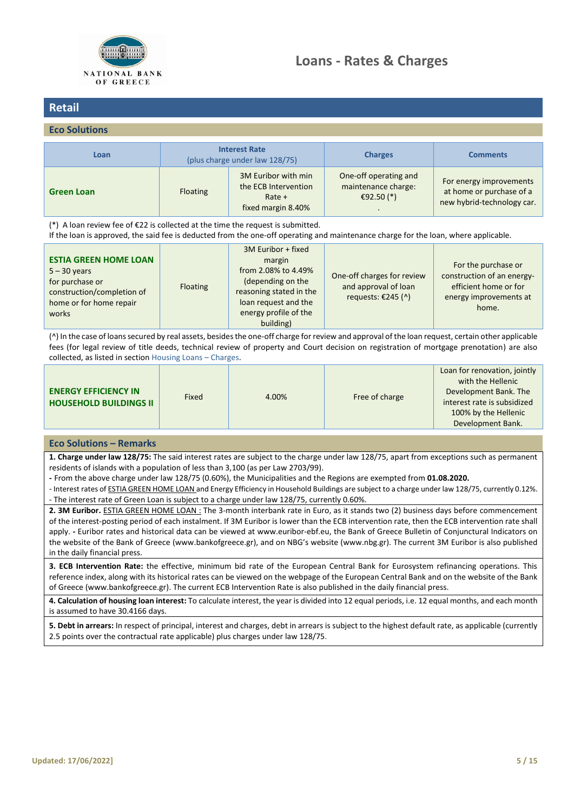

### <span id="page-4-0"></span>**Eco Solutions**

| Loan              |                 | <b>Interest Rate</b><br>(plus charge under law 128/75)                        | <b>Charges</b>                                               | <b>Comments</b>                                                                   |
|-------------------|-----------------|-------------------------------------------------------------------------------|--------------------------------------------------------------|-----------------------------------------------------------------------------------|
| <b>Green Loan</b> | <b>Floating</b> | 3M Euribor with min<br>the ECB Intervention<br>$Rate +$<br>fixed margin 8.40% | One-off operating and<br>maintenance charge:<br>€92.50 $(*)$ | For energy improvements<br>at home or purchase of a<br>new hybrid-technology car. |

(\*) A loan review fee of  $\epsilon$ 22 is collected at the time the request is submitted.

If the loan is approved, the said fee is deducted from the one-off operating and maintenance charge for the loan, where applicable.

| <b>ESTIA GREEN HOME LOAN</b><br>$5 - 30$ years<br>for purchase or<br>construction/completion of<br>home or for home repair<br>works | Floating | 3M Euribor + fixed<br>margin<br>from 2.08% to 4.49%<br>(depending on the<br>reasoning stated in the<br>loan request and the<br>energy profile of the<br>building) | One-off charges for review<br>and approval of loan<br>requests: €245 $(^)$ | For the purchase or<br>construction of an energy-<br>efficient home or for<br>energy improvements at<br>home. |
|-------------------------------------------------------------------------------------------------------------------------------------|----------|-------------------------------------------------------------------------------------------------------------------------------------------------------------------|----------------------------------------------------------------------------|---------------------------------------------------------------------------------------------------------------|
|-------------------------------------------------------------------------------------------------------------------------------------|----------|-------------------------------------------------------------------------------------------------------------------------------------------------------------------|----------------------------------------------------------------------------|---------------------------------------------------------------------------------------------------------------|

(^) In the case of loans secured by real assets, besides the one-off charge for review and approval of the loan request, certain other applicable fees (for legal review of title deeds, technical review of property and Court decision on registration of mortgage prenotation) are also collected, as listed in sectio[n Housing Loans](#page-8-0) – Charges.

| <b>ENERGY EFFICIENCY IN</b><br><b>HOUSEHOLD BUILDINGS II</b> | Fixed | 4.00% | Free of charge | Loan for renovation, jointly<br>with the Hellenic<br>Development Bank. The<br>interest rate is subsidized<br>100% by the Hellenic<br>Development Bank. |
|--------------------------------------------------------------|-------|-------|----------------|--------------------------------------------------------------------------------------------------------------------------------------------------------|
|--------------------------------------------------------------|-------|-------|----------------|--------------------------------------------------------------------------------------------------------------------------------------------------------|

### **Eco Solutions – Remarks**

**1. Charge under law 128/75:** The said interest rates are subject to the charge under law 128/75, apart from exceptions such as permanent residents of islands with a population of less than 3,100 (as per Law 2703/99).

**-** From the above charge under law 128/75 (0.60%), the Municipalities and the Regions are exempted from **01.08.2020.**

- Interest rates of ESTIA GREEN HOME LOAN and Energy Efficiency in Household Buildings are subject to a charge under law 128/75, currently 0.12%. - The interest rate of Green Loan is subject to a charge under law 128/75, currently 0.60%.

**2. 3Μ Euribor.** ESTIA GREEN HOME LOAN : The 3-month interbank rate in Euro, as it stands two (2) business days before commencement of the interest-posting period of each instalment. If 3Μ Euribor is lower than the ECB intervention rate, then the ECB intervention rate shall apply. **-** Euribor rates and historical data can be viewed at www.euribor-ebf.eu, the Bank of Greece Bulletin of Conjunctural Indicators on the website of the Bank of Greece (www.bankofgreece.gr), and on NBG's website (www.nbg.gr). The current 3M Euribor is also published in the daily financial press.

**3. ECB Intervention Rate:** the effective, minimum bid rate of the European Central Bank for Eurosystem refinancing operations. This reference index, along with its historical rates can be viewed on the webpage of the European Central Bank and on the website of the Bank of Greece (www.bankofgreece.gr). The current ECB Intervention Rate is also published in the daily financial press.

**4. Calculation of housing loan interest:** To calculate interest, the year is divided into 12 equal periods, i.e. 12 equal months, and each month is assumed to have 30.4166 days.

**5. Debt in arrears:** In respect of principal, interest and charges, debt in arrears is subject to the highest default rate, as applicable (currently 2.5 points over the contractual rate applicable) plus charges under law 128/75.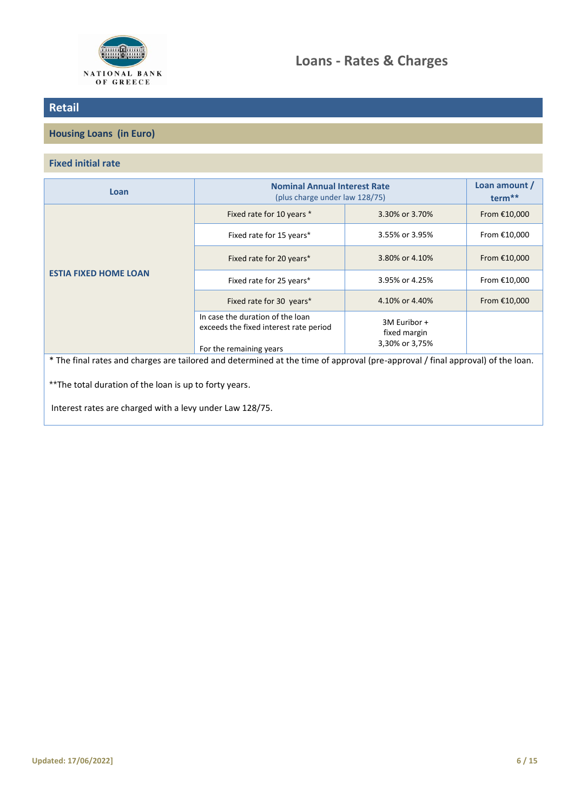

## <span id="page-5-0"></span>**Housing Loans (in Euro)**

## **Fixed initial rate**

| Loan                         | <b>Nominal Annual Interest Rate</b><br>(plus charge under law 128/75)                                                    | Loan amount /<br>term <sup>**</sup>            |              |
|------------------------------|--------------------------------------------------------------------------------------------------------------------------|------------------------------------------------|--------------|
| <b>ESTIA FIXED HOME LOAN</b> | Fixed rate for 10 years *                                                                                                | 3.30% or 3.70%                                 | From €10,000 |
|                              | Fixed rate for 15 years*                                                                                                 | 3.55% or 3.95%                                 | From €10,000 |
|                              | Fixed rate for 20 years*                                                                                                 | 3.80% or 4.10%                                 | From €10,000 |
|                              | 3.95% or 4.25%<br>Fixed rate for 25 years*                                                                               |                                                | From €10,000 |
|                              | Fixed rate for 30 years*                                                                                                 | 4.10% or 4.40%                                 | From €10,000 |
|                              | In case the duration of the loan<br>exceeds the fixed interest rate period<br>For the remaining years                    | 3M Euribor +<br>fixed margin<br>3,30% or 3,75% |              |
|                              | The final rates and sharpes are tailored and determined at the time of annoual (pre-annoual) (final annoual) of the loan |                                                |              |

The final rates and charges are tailored and determined at the time of approval (pre-approval / final approval) of the loan.

\*\*The total duration of the loan is up to forty years.

Interest rates are charged with a levy under Law 128/75.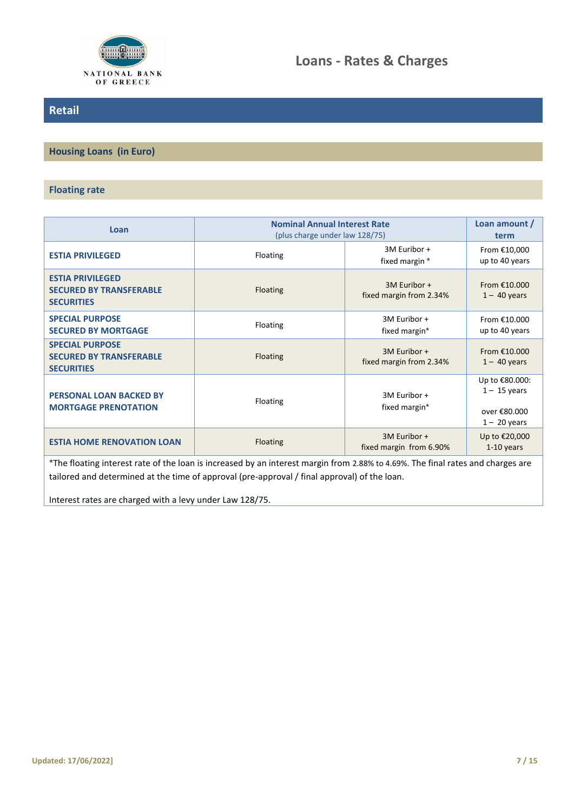

**Housing Loans (in Euro)**

### **Floating rate**

| Loan                                                                           | <b>Nominal Annual Interest Rate</b><br>(plus charge under law 128/75) | Loan amount /<br>term                   |                                                                    |
|--------------------------------------------------------------------------------|-----------------------------------------------------------------------|-----------------------------------------|--------------------------------------------------------------------|
| <b>ESTIA PRIVILEGED</b>                                                        | Floating                                                              | 3M Euribor +<br>fixed margin *          | From €10,000<br>up to 40 years                                     |
| <b>ESTIA PRIVILEGED</b><br><b>SECURED BY TRANSFERABLE</b><br><b>SECURITIES</b> | 3M Euribor +<br><b>Floating</b><br>fixed margin from 2.34%            |                                         | From $£10.000$<br>$1 - 40$ years                                   |
| <b>SPECIAL PURPOSE</b><br><b>SECURED BY MORTGAGE</b>                           | Floating                                                              | 3M Euribor +<br>fixed margin*           | From €10.000<br>up to 40 years                                     |
| <b>SPECIAL PURPOSE</b><br><b>SECURED BY TRANSFERABLE</b><br><b>SECURITIES</b>  | <b>Floating</b>                                                       | 3M Euribor +<br>fixed margin from 2.34% | From €10,000<br>$1 - 40$ years                                     |
| <b>PERSONAL LOAN BACKED BY</b><br><b>MORTGAGE PRENOTATION</b>                  | Floating                                                              | 3M Euribor +<br>fixed margin*           | Up to €80.000:<br>$1 - 15$ years<br>over €80.000<br>$1 - 20$ years |
| <b>ESTIA HOME RENOVATION LOAN</b>                                              | <b>Floating</b>                                                       | 3M Euribor +<br>fixed margin from 6.90% | Up to €20,000<br>$1-10$ years                                      |

\*The floating interest rate of the loan is increased by an interest margin from 2.88% to 4.69%. The final rates and charges are tailored and determined at the time of approval (pre-approval / final approval) of the loan.

Interest rates are charged with a levy under Law 128/75.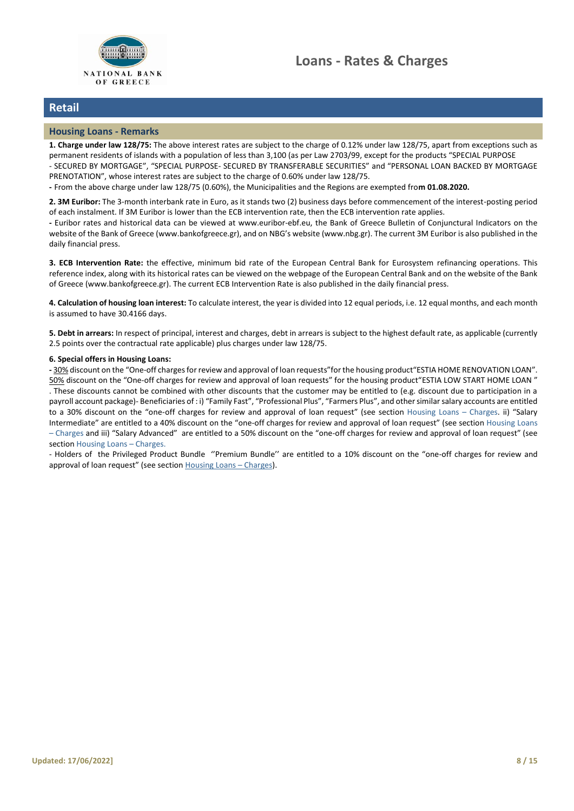

#### **Housing Loans - Remarks**

**1. Charge under law 128/75:** The above interest rates are subject to the charge of 0.12% under law 128/75, apart from exceptions such as permanent residents of islands with a population of less than 3,100 (as per Law 2703/99, except for the products "SPECIAL PURPOSE - SECURED BY MORTGAGE", "SPECIAL PURPOSE- SECURED BY TRANSFERABLE SECURITIES" and "PERSONAL LOAN BACKED BY MORTGAGE PRENOTATION", whose interest rates are subject to the charge of 0.60% under law 128/75.

**-** From the above charge under law 128/75 (0.60%), the Municipalities and the Regions are exempted fro**m 01.08.2020.**

**2. 3Μ Euribor:** The 3-month interbank rate in Euro, as it stands two (2) business days before commencement of the interest-posting period of each instalment. If 3Μ Euribor is lower than the ECB intervention rate, then the ECB intervention rate applies.

**-** Euribor rates and historical data can be viewed at www.euribor-ebf.eu, the Bank of Greece Bulletin of Conjunctural Indicators on the website of the Bank of Greece (www.bankofgreece.gr), and on NBG's website (www.nbg.gr). The current 3M Euribor is also published in the daily financial press.

**3. ECB Intervention Rate:** the effective, minimum bid rate of the European Central Bank for Eurosystem refinancing operations. This reference index, along with its historical rates can be viewed on the webpage of the European Central Bank and on the website of the Bank of Greece (www.bankofgreece.gr). The current ECB Intervention Rate is also published in the daily financial press.

**4. Calculation of housing loan interest:** To calculate interest, the year is divided into 12 equal periods, i.e. 12 equal months, and each month is assumed to have 30.4166 days.

**5. Debt in arrears:** In respect of principal, interest and charges, debt in arrears is subject to the highest default rate, as applicable (currently 2.5 points over the contractual rate applicable) plus charges under law 128/75.

#### **6. Special offers in Housing Loans:**

**-** 30% discount on the "One-off charges for review and approval of loan requests"for the housing product"ESTIA HOME RENOVATION LOAN". 50% discount on the "One-off charges for review and approval of loan requests" for the housing product"ESTIA LOW START HOME LOAN " . These discounts cannot be combined with other discounts that the customer may be entitled to (e.g. discount due to participation in a payroll account package)- Beneficiaries of : i) "Family Fast", "Professional Plus", "Farmers Plus", and other similar salary accounts are entitled to a 30% discount on the "one-off charges for review and approval of loan request" (see section [Housing Loans](#page-8-0) – Charges. ii) "Salary Intermediate" are entitled to a 40% discount on the "one-off charges for review and approval of loan request" (see section [Housing Loans](#page-8-0)  – [Charges](#page-8-0) and iii) "Salary Advanced" are entitled to a 50% discount on the "one-off charges for review and approval of loan request" (see sectio[n Housing Loans](#page-8-0) – Charges.

- Holders of the Privileged Product Bundle ''Premium Bundle'' are entitled to a 10% discount on the "one-off charges for review and approval of loan request" (see section [Housing Loans](file://///V900620002/FILES/HOMEDIRS/E29685/!PUB033/ΛΑΖΑΡΟΣ/AAA%20ΝΕΟ%20WEB%20PORTAL%20(ΕΠΙΤΟΚΙΑ%20ΚΑΙ%20ΤΙΜΟΛΟΓΙΟ%20ΠΡΟΪΟΝΤΩΝ%20-%20ΤΙΜΟΛΟΓΙΟ%20ΛΟΙΠΩΝ%20ΕΡΓΑΣΙΩΝ)/WEB%20PORTAL%20ΑΓΓΛΙΚΟ/Ιστορικότητα%20αρχείων/EPITOKIA%20KAI%20TIMOLOGIO%20%20DANEIWN%20%202018-04-26%20(Loans%20-%20Rates%20and%20Charges).docx%23retail_housing_loans_charges) – Charges).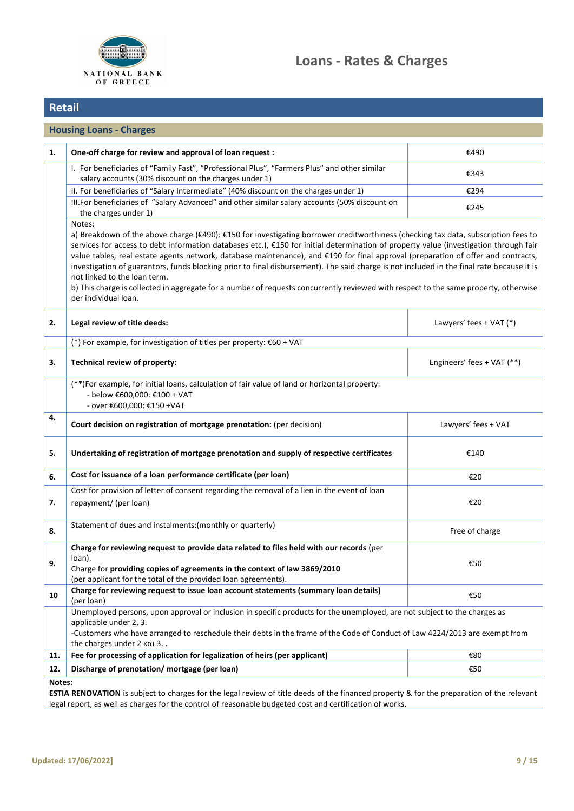

<span id="page-8-0"></span>

|     | <b>Housing Loans - Charges</b>                                                                                                                                                                                                                                                                                                                                                                                                                                                                                                                                                                                                                                                                                                                                          |                            |  |  |  |
|-----|-------------------------------------------------------------------------------------------------------------------------------------------------------------------------------------------------------------------------------------------------------------------------------------------------------------------------------------------------------------------------------------------------------------------------------------------------------------------------------------------------------------------------------------------------------------------------------------------------------------------------------------------------------------------------------------------------------------------------------------------------------------------------|----------------------------|--|--|--|
| 1.  | One-off charge for review and approval of loan request :                                                                                                                                                                                                                                                                                                                                                                                                                                                                                                                                                                                                                                                                                                                | €490                       |  |  |  |
|     | I. For beneficiaries of "Family Fast", "Professional Plus", "Farmers Plus" and other similar<br>salary accounts (30% discount on the charges under 1)                                                                                                                                                                                                                                                                                                                                                                                                                                                                                                                                                                                                                   | €343                       |  |  |  |
|     | II. For beneficiaries of "Salary Intermediate" (40% discount on the charges under 1)                                                                                                                                                                                                                                                                                                                                                                                                                                                                                                                                                                                                                                                                                    | €294                       |  |  |  |
|     | III.For beneficiaries of "Salary Advanced" and other similar salary accounts (50% discount on<br>the charges under 1)                                                                                                                                                                                                                                                                                                                                                                                                                                                                                                                                                                                                                                                   | €245                       |  |  |  |
|     | Notes:<br>a) Breakdown of the above charge (€490): €150 for investigating borrower creditworthiness (checking tax data, subscription fees to<br>services for access to debt information databases etc.), €150 for initial determination of property value (investigation through fair<br>value tables, real estate agents network, database maintenance), and €190 for final approval (preparation of offer and contracts,<br>investigation of guarantors, funds blocking prior to final disbursement). The said charge is not included in the final rate because it is<br>not linked to the loan term.<br>b) This charge is collected in aggregate for a number of requests concurrently reviewed with respect to the same property, otherwise<br>per individual loan. |                            |  |  |  |
| 2.  | Legal review of title deeds:                                                                                                                                                                                                                                                                                                                                                                                                                                                                                                                                                                                                                                                                                                                                            | Lawyers' fees + VAT (*)    |  |  |  |
|     | (*) For example, for investigation of titles per property: $€60 + VAT$                                                                                                                                                                                                                                                                                                                                                                                                                                                                                                                                                                                                                                                                                                  |                            |  |  |  |
| 3.  | Technical review of property:                                                                                                                                                                                                                                                                                                                                                                                                                                                                                                                                                                                                                                                                                                                                           | Engineers' fees + VAT (**) |  |  |  |
|     | (**)For example, for initial loans, calculation of fair value of land or horizontal property:<br>- below €600,000: €100 + VAT<br>- over €600,000: €150 +VAT                                                                                                                                                                                                                                                                                                                                                                                                                                                                                                                                                                                                             |                            |  |  |  |
| 4.  | Court decision on registration of mortgage prenotation: (per decision)                                                                                                                                                                                                                                                                                                                                                                                                                                                                                                                                                                                                                                                                                                  | Lawyers' fees + VAT        |  |  |  |
| 5.  | Undertaking of registration of mortgage prenotation and supply of respective certificates                                                                                                                                                                                                                                                                                                                                                                                                                                                                                                                                                                                                                                                                               | €140                       |  |  |  |
| 6.  | Cost for issuance of a loan performance certificate (per loan)                                                                                                                                                                                                                                                                                                                                                                                                                                                                                                                                                                                                                                                                                                          | €20                        |  |  |  |
| 7.  | Cost for provision of letter of consent regarding the removal of a lien in the event of loan<br>repayment/ (per loan)                                                                                                                                                                                                                                                                                                                                                                                                                                                                                                                                                                                                                                                   | €20                        |  |  |  |
| 8.  | Statement of dues and instalments: (monthly or quarterly)                                                                                                                                                                                                                                                                                                                                                                                                                                                                                                                                                                                                                                                                                                               | Free of charge             |  |  |  |
| 9.  | Charge for reviewing request to provide data related to files held with our records (per<br>loan).<br>Charge for providing copies of agreements in the context of law 3869/2010<br>(per applicant for the total of the provided loan agreements).                                                                                                                                                                                                                                                                                                                                                                                                                                                                                                                       | €50                        |  |  |  |
| 10  | Charge for reviewing request to issue loan account statements (summary loan details)<br>(per loan)                                                                                                                                                                                                                                                                                                                                                                                                                                                                                                                                                                                                                                                                      | €50                        |  |  |  |
|     | Unemployed persons, upon approval or inclusion in specific products for the unemployed, are not subject to the charges as<br>applicable under 2, 3.<br>-Customers who have arranged to reschedule their debts in the frame of the Code of Conduct of Law 4224/2013 are exempt from<br>the charges under $2 \text{ k}\alpha$ 3                                                                                                                                                                                                                                                                                                                                                                                                                                           |                            |  |  |  |
| 11. | Fee for processing of application for legalization of heirs (per applicant)                                                                                                                                                                                                                                                                                                                                                                                                                                                                                                                                                                                                                                                                                             | €80                        |  |  |  |
| 12. | Discharge of prenotation/mortgage (per loan)                                                                                                                                                                                                                                                                                                                                                                                                                                                                                                                                                                                                                                                                                                                            | €50                        |  |  |  |
|     | Notes:<br>ESTIA RENOVATION is subject to charges for the legal review of title deeds of the financed property & for the preparation of the relevant                                                                                                                                                                                                                                                                                                                                                                                                                                                                                                                                                                                                                     |                            |  |  |  |

legal report, as well as charges for the control of reasonable budgeted cost and certification of works.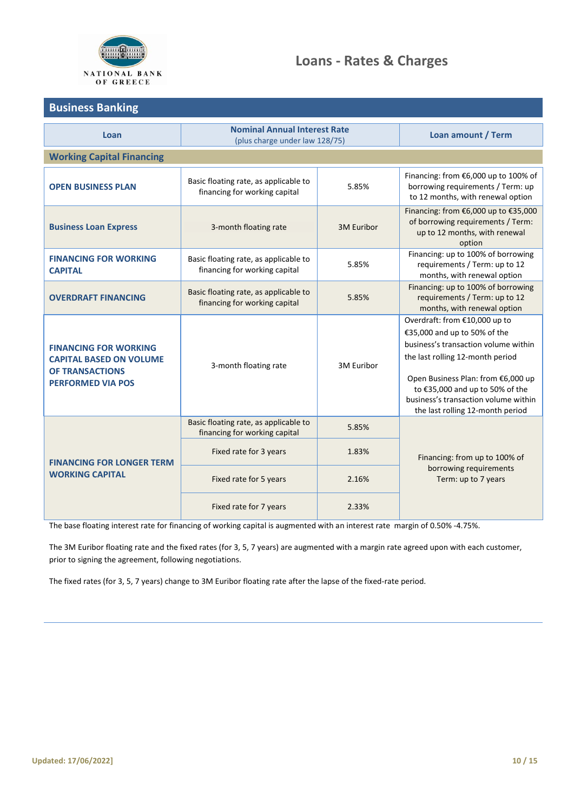

# **Loans - Rates & Charges**

# <span id="page-9-0"></span>**Business Banking**

| Loan                                                                                                                 | <b>Nominal Annual Interest Rate</b><br>(plus charge under law 128/75)  | Loan amount / Term |                                                                                                                                                                                                                                                                                                |  |  |  |
|----------------------------------------------------------------------------------------------------------------------|------------------------------------------------------------------------|--------------------|------------------------------------------------------------------------------------------------------------------------------------------------------------------------------------------------------------------------------------------------------------------------------------------------|--|--|--|
| <b>Working Capital Financing</b>                                                                                     |                                                                        |                    |                                                                                                                                                                                                                                                                                                |  |  |  |
| <b>OPEN BUSINESS PLAN</b>                                                                                            | Basic floating rate, as applicable to<br>financing for working capital | 5.85%              | Financing: from €6,000 up to 100% of<br>borrowing requirements / Term: up<br>to 12 months, with renewal option                                                                                                                                                                                 |  |  |  |
| <b>Business Loan Express</b>                                                                                         | 3-month floating rate                                                  | 3M Euribor         | Financing: from €6,000 up to €35,000<br>of borrowing requirements / Term:<br>up to 12 months, with renewal<br>option                                                                                                                                                                           |  |  |  |
| <b>FINANCING FOR WORKING</b><br><b>CAPITAL</b>                                                                       | Basic floating rate, as applicable to<br>financing for working capital | 5.85%              | Financing: up to 100% of borrowing<br>requirements / Term: up to 12<br>months, with renewal option                                                                                                                                                                                             |  |  |  |
| <b>OVERDRAFT FINANCING</b>                                                                                           | Basic floating rate, as applicable to<br>financing for working capital | 5.85%              | Financing: up to 100% of borrowing<br>requirements / Term: up to 12<br>months, with renewal option                                                                                                                                                                                             |  |  |  |
| <b>FINANCING FOR WORKING</b><br><b>CAPITAL BASED ON VOLUME</b><br><b>OF TRANSACTIONS</b><br><b>PERFORMED VIA POS</b> | 3-month floating rate                                                  | 3M Euribor         | Overdraft: from €10,000 up to<br>€35,000 and up to 50% of the<br>business's transaction volume within<br>the last rolling 12-month period<br>Open Business Plan: from €6,000 up<br>to €35,000 and up to 50% of the<br>business's transaction volume within<br>the last rolling 12-month period |  |  |  |
| <b>FINANCING FOR LONGER TERM</b><br><b>WORKING CAPITAL</b>                                                           | Basic floating rate, as applicable to<br>financing for working capital | 5.85%              |                                                                                                                                                                                                                                                                                                |  |  |  |
|                                                                                                                      | Fixed rate for 3 years                                                 | 1.83%              | Financing: from up to 100% of                                                                                                                                                                                                                                                                  |  |  |  |
|                                                                                                                      | Fixed rate for 5 years                                                 | 2.16%              | borrowing requirements<br>Term: up to 7 years                                                                                                                                                                                                                                                  |  |  |  |
|                                                                                                                      | Fixed rate for 7 years                                                 | 2.33%              |                                                                                                                                                                                                                                                                                                |  |  |  |

The base floating interest rate for financing of working capital is augmented with an interest rate margin of 0.50% -4.75%.

The 3M Euribor floating rate and the fixed rates (for 3, 5, 7 years) are augmented with a margin rate agreed upon with each customer, prior to signing the agreement, following negotiations.

The fixed rates (for 3, 5, 7 years) change to 3M Euribor floating rate after the lapse of the fixed-rate period.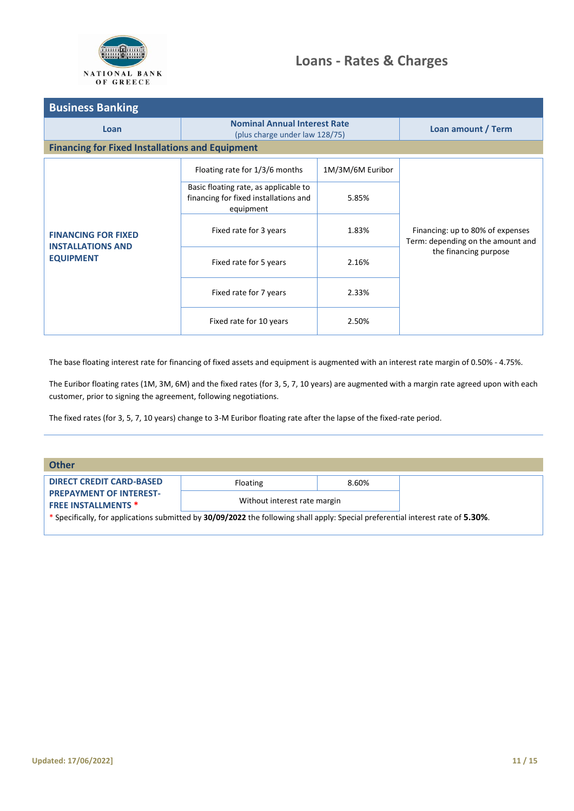

| <b>Business Banking</b>                                                    |                                                                                             |                  |                                                                       |  |  |
|----------------------------------------------------------------------------|---------------------------------------------------------------------------------------------|------------------|-----------------------------------------------------------------------|--|--|
| Loan                                                                       | <b>Nominal Annual Interest Rate</b><br>(plus charge under law 128/75)                       |                  | Loan amount / Term                                                    |  |  |
| <b>Financing for Fixed Installations and Equipment</b>                     |                                                                                             |                  |                                                                       |  |  |
|                                                                            | Floating rate for 1/3/6 months                                                              | 1M/3M/6M Euribor |                                                                       |  |  |
| <b>FINANCING FOR FIXED</b><br><b>INSTALLATIONS AND</b><br><b>EQUIPMENT</b> | Basic floating rate, as applicable to<br>financing for fixed installations and<br>equipment | 5.85%            |                                                                       |  |  |
|                                                                            | Fixed rate for 3 years                                                                      | 1.83%            | Financing: up to 80% of expenses<br>Term: depending on the amount and |  |  |
|                                                                            | Fixed rate for 5 years                                                                      | 2.16%            | the financing purpose                                                 |  |  |
|                                                                            | Fixed rate for 7 years                                                                      | 2.33%            |                                                                       |  |  |
|                                                                            | Fixed rate for 10 years                                                                     | 2.50%            |                                                                       |  |  |

The base floating interest rate for financing of fixed assets and equipment is augmented with an interest rate margin of 0.50% - 4.75%.

The Euribor floating rates (1M, 3M, 6M) and the fixed rates (for 3, 5, 7, 10 years) are augmented with a margin rate agreed upon with each customer, prior to signing the agreement, following negotiations.

The fixed rates (for 3, 5, 7, 10 years) change to 3-M Euribor floating rate after the lapse of the fixed-rate period.

<span id="page-10-0"></span>

| <b>Other</b>                                                 |                                                                                                                                  |                              |  |
|--------------------------------------------------------------|----------------------------------------------------------------------------------------------------------------------------------|------------------------------|--|
| <b>DIRECT CREDIT CARD-BASED</b>                              | Floating                                                                                                                         | 8.60%                        |  |
| <b>PREPAYMENT OF INTEREST-</b><br><b>FREE INSTALLMENTS *</b> |                                                                                                                                  | Without interest rate margin |  |
|                                                              | * Specifically, for applications submitted by 30/09/2022 the following shall apply: Special preferential interest rate of 5.30%. |                              |  |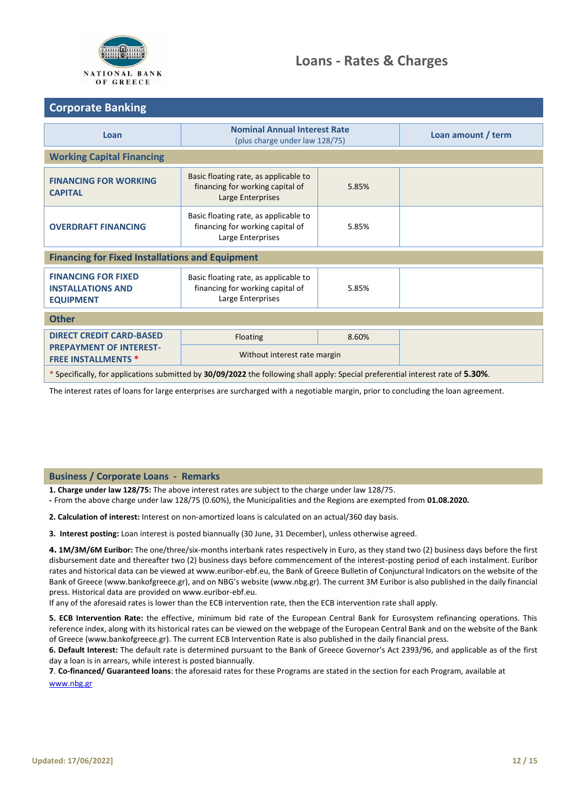

## <span id="page-11-0"></span>**Corporate Banking**

| Loan                                                                                                                             | <b>Nominal Annual Interest Rate</b><br>(plus charge under law 128/75)                                   | Loan amount / term |  |  |  |
|----------------------------------------------------------------------------------------------------------------------------------|---------------------------------------------------------------------------------------------------------|--------------------|--|--|--|
| <b>Working Capital Financing</b>                                                                                                 |                                                                                                         |                    |  |  |  |
| <b>FINANCING FOR WORKING</b><br><b>CAPITAL</b>                                                                                   | Basic floating rate, as applicable to<br>financing for working capital of<br>Large Enterprises          | 5.85%              |  |  |  |
| <b>OVERDRAFT FINANCING</b>                                                                                                       | Basic floating rate, as applicable to<br>financing for working capital of<br>5.85%<br>Large Enterprises |                    |  |  |  |
| <b>Financing for Fixed Installations and Equipment</b>                                                                           |                                                                                                         |                    |  |  |  |
| <b>FINANCING FOR FIXED</b><br><b>INSTALLATIONS AND</b><br><b>EQUIPMENT</b>                                                       | Basic floating rate, as applicable to<br>financing for working capital of<br>Large Enterprises          | 5.85%              |  |  |  |
| <b>Other</b>                                                                                                                     |                                                                                                         |                    |  |  |  |
| <b>DIRECT CREDIT CARD-BASED</b><br><b>PREPAYMENT OF INTEREST-</b><br><b>FREE INSTALLMENTS *</b>                                  | Floating<br>8.60%                                                                                       |                    |  |  |  |
|                                                                                                                                  | Without interest rate margin                                                                            |                    |  |  |  |
| * Specifically, for applications submitted by 30/09/2022 the following shall apply: Special preferential interest rate of 5.30%. |                                                                                                         |                    |  |  |  |

The interest rates of loans for large enterprises are surcharged with a negotiable margin, prior to concluding the loan agreement.

### **Business / Corporate Loans - Remarks**

**1. Charge under law 128/75:** The above interest rates are subject to the charge under law 128/75.

**-** From the above charge under law 128/75 (0.60%), the Municipalities and the Regions are exempted from **01.08.2020.**

**2. Calculation of interest:** Interest on non-amortized loans is calculated on an actual/360 day basis.

**3. Interest posting:** Loan interest is posted biannually (30 June, 31 December), unless otherwise agreed.

**4. 1Μ/3Μ/6Μ Euribor:** The one/three/six-months interbank rates respectively in Euro, as they stand two (2) business days before the first disbursement date and thereafter two (2) business days before commencement of the interest-posting period of each instalment. Euribor rates and historical data can be viewed at www.euribor-ebf.eu, the Bank of Greece Bulletin of Conjunctural Indicators on the website of the Bank of Greece (www.bankofgreece.gr), and on NBG's website (www.nbg.gr). The current 3M Euribor is also published in the daily financial press. Historical data are provided on www.euribor-ebf.eu.

If any of the aforesaid rates is lower than the ECB intervention rate, then the ECB intervention rate shall apply.

**5. ECB Intervention Rate:** the effective, minimum bid rate of the European Central Bank for Eurosystem refinancing operations. This reference index, along with its historical rates can be viewed on the webpage of the European Central Bank and on the website of the Bank of Greece (www.bankofgreece.gr). The current ECB Intervention Rate is also published in the daily financial press.

**6. Default Interest:** The default rate is determined pursuant to the Bank of Greece Governor's Act 2393/96, and applicable as of the first day a loan is in arrears, while interest is posted biannually.

**7**. **Co-financed/ Guaranteed loans**: the aforesaid rates for these Programs are stated in the section for each Program, available at

[www.nbg.gr](http://www.nbg.gr/)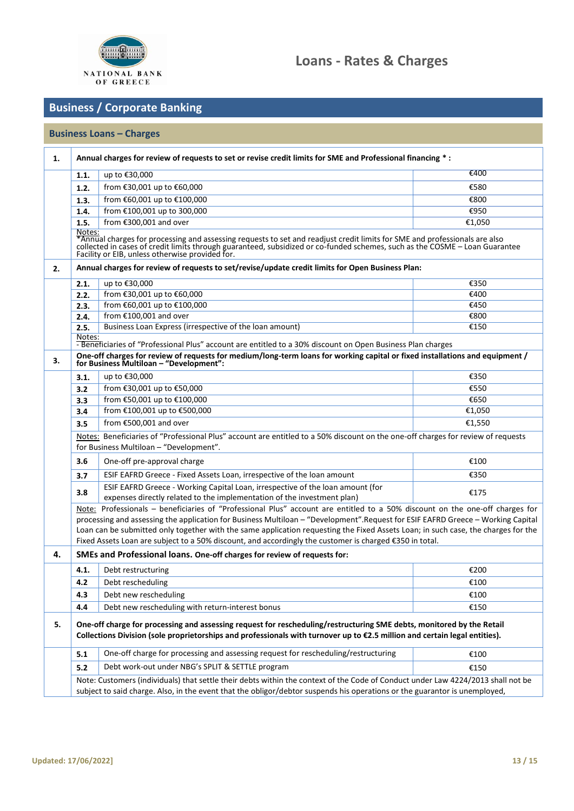

# **Business / Corporate Banking**

# **Business Loans – Charges**

| 1. | Annual charges for review of requests to set or revise credit limits for SME and Professional financing *:                                                                                                                                                                                     |                                                                                                                                                                                                                                                     |        |  |  |
|----|------------------------------------------------------------------------------------------------------------------------------------------------------------------------------------------------------------------------------------------------------------------------------------------------|-----------------------------------------------------------------------------------------------------------------------------------------------------------------------------------------------------------------------------------------------------|--------|--|--|
|    | 1.1.                                                                                                                                                                                                                                                                                           | up to €30,000                                                                                                                                                                                                                                       | €400   |  |  |
|    | 1.2.                                                                                                                                                                                                                                                                                           | from €30,001 up to €60,000                                                                                                                                                                                                                          | €580   |  |  |
|    | 1.3.                                                                                                                                                                                                                                                                                           | from €60,001 up to €100,000                                                                                                                                                                                                                         | €800   |  |  |
|    | 1.4.                                                                                                                                                                                                                                                                                           | from €100,001 up to 300,000                                                                                                                                                                                                                         | €950   |  |  |
|    | 1.5.                                                                                                                                                                                                                                                                                           | from €300,001 and over                                                                                                                                                                                                                              | €1,050 |  |  |
|    | Notes:<br>*Annual charges for processing and assessing requests to set and readjust credit limits for SME and professionals are also<br>collected in cases of credit limits through guaranteed, subsidized or co-funded schemes, such as th<br>Facility or EIB, unless otherwise provided for. |                                                                                                                                                                                                                                                     |        |  |  |
| 2. | Annual charges for review of requests to set/revise/update credit limits for Open Business Plan:                                                                                                                                                                                               |                                                                                                                                                                                                                                                     |        |  |  |
|    | 2.1.                                                                                                                                                                                                                                                                                           | up to €30,000                                                                                                                                                                                                                                       | €350   |  |  |
|    | 2.2.                                                                                                                                                                                                                                                                                           | from €30,001 up to €60,000                                                                                                                                                                                                                          | €400   |  |  |
|    | 2.3.                                                                                                                                                                                                                                                                                           | from €60,001 up to €100,000                                                                                                                                                                                                                         | €450   |  |  |
|    | 2.4.                                                                                                                                                                                                                                                                                           | from $£100,001$ and over                                                                                                                                                                                                                            | €800   |  |  |
|    | 2.5.                                                                                                                                                                                                                                                                                           | Business Loan Express (irrespective of the loan amount)                                                                                                                                                                                             | €150   |  |  |
|    | Notes:                                                                                                                                                                                                                                                                                         | - Beneficiaries of "Professional Plus" account are entitled to a 30% discount on Open Business Plan charges                                                                                                                                         |        |  |  |
| з. | One-off charges for review of requests for medium/long-term loans for working capital or fixed installations and equipment /<br>for Business Multiloan - "Development":                                                                                                                        |                                                                                                                                                                                                                                                     |        |  |  |
|    | 3.1.                                                                                                                                                                                                                                                                                           | up to €30,000                                                                                                                                                                                                                                       | €350   |  |  |
|    | 3.2                                                                                                                                                                                                                                                                                            | from €30,001 up to €50,000                                                                                                                                                                                                                          | €550   |  |  |
|    | 3.3                                                                                                                                                                                                                                                                                            | from €50,001 up to €100,000                                                                                                                                                                                                                         | €650   |  |  |
|    | 3.4                                                                                                                                                                                                                                                                                            | from €100,001 up to €500,000                                                                                                                                                                                                                        | €1,050 |  |  |
|    | 3.5                                                                                                                                                                                                                                                                                            | from €500,001 and over                                                                                                                                                                                                                              | €1,550 |  |  |
|    | Notes: Beneficiaries of "Professional Plus" account are entitled to a 50% discount on the one-off charges for review of requests<br>for Business Multiloan - "Development".                                                                                                                    |                                                                                                                                                                                                                                                     |        |  |  |
|    | 3.6                                                                                                                                                                                                                                                                                            | One-off pre-approval charge                                                                                                                                                                                                                         | €100   |  |  |
|    | 3.7                                                                                                                                                                                                                                                                                            | ESIF EAFRD Greece - Fixed Assets Loan, irrespective of the loan amount                                                                                                                                                                              | €350   |  |  |
|    | 3.8                                                                                                                                                                                                                                                                                            | ESIF EAFRD Greece - Working Capital Loan, irrespective of the loan amount (for<br>expenses directly related to the implementation of the investment plan)                                                                                           | €175   |  |  |
|    |                                                                                                                                                                                                                                                                                                | Note: Professionals - beneficiaries of "Professional Plus" account are entitled to a 50% discount on the one-off charges for                                                                                                                        |        |  |  |
|    |                                                                                                                                                                                                                                                                                                | processing and assessing the application for Business Multiloan - "Development". Request for ESIF EAFRD Greece - Working Capital                                                                                                                    |        |  |  |
|    | Loan can be submitted only together with the same application requesting the Fixed Assets Loan; in such case, the charges for the<br>Fixed Assets Loan are subject to a 50% discount, and accordingly the customer is charged €350 in total.                                                   |                                                                                                                                                                                                                                                     |        |  |  |
| 4. | SMEs and Professional loans. One-off charges for review of requests for:                                                                                                                                                                                                                       |                                                                                                                                                                                                                                                     |        |  |  |
|    | 4.1.                                                                                                                                                                                                                                                                                           | Debt restructuring                                                                                                                                                                                                                                  | €200   |  |  |
|    | 4.2                                                                                                                                                                                                                                                                                            | Debt rescheduling                                                                                                                                                                                                                                   | €100   |  |  |
|    | 4.3                                                                                                                                                                                                                                                                                            | Debt new rescheduling                                                                                                                                                                                                                               | €100   |  |  |
|    | 4.4                                                                                                                                                                                                                                                                                            | Debt new rescheduling with return-interest bonus                                                                                                                                                                                                    | €150   |  |  |
| 5. |                                                                                                                                                                                                                                                                                                | One-off charge for processing and assessing request for rescheduling/restructuring SME debts, monitored by the Retail<br>Collections Division (sole proprietorships and professionals with turnover up to €2.5 million and certain legal entities). |        |  |  |
|    | 5.1                                                                                                                                                                                                                                                                                            | One-off charge for processing and assessing request for rescheduling/restructuring                                                                                                                                                                  | €100   |  |  |
|    | 5.2                                                                                                                                                                                                                                                                                            | Debt work-out under NBG's SPLIT & SETTLE program                                                                                                                                                                                                    | €150   |  |  |
|    | Note: Customers (individuals) that settle their debts within the context of the Code of Conduct under Law 4224/2013 shall not be<br>subject to said charge. Also, in the event that the obligor/debtor suspends his operations or the guarantor is unemployed,                                 |                                                                                                                                                                                                                                                     |        |  |  |
|    |                                                                                                                                                                                                                                                                                                |                                                                                                                                                                                                                                                     |        |  |  |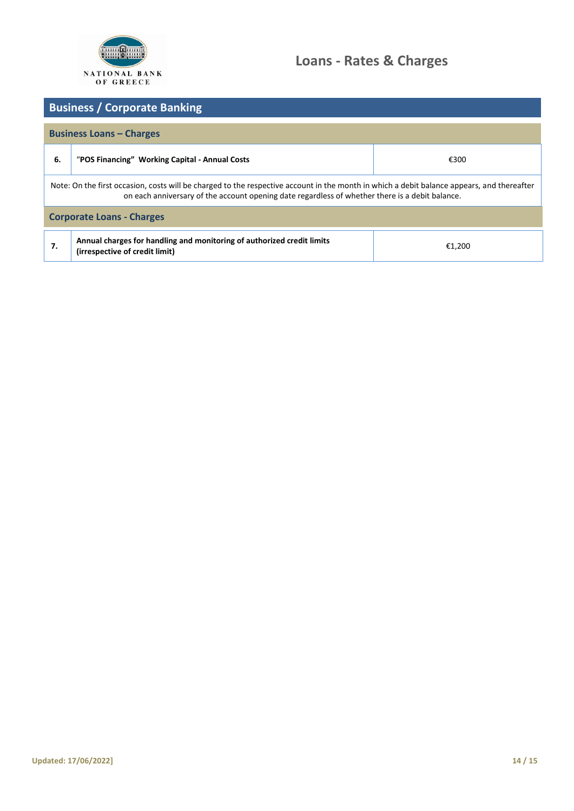

# **Loans - Rates & Charges**

# **Business / Corporate Banking Business Loans – Charges 6.** "**POS Financing" Working Capital - Annual Costs** €300 Note: On the first occasion, costs will be charged to the respective account in the month in which a debit balance appears, and thereafter on each anniversary of the account opening date regardless of whether there is a debit balance. **Corporate Loans - Charges 7. Annual charges for handling and monitoring of authorized credit limits (irrespective of credit limit)** €1,200